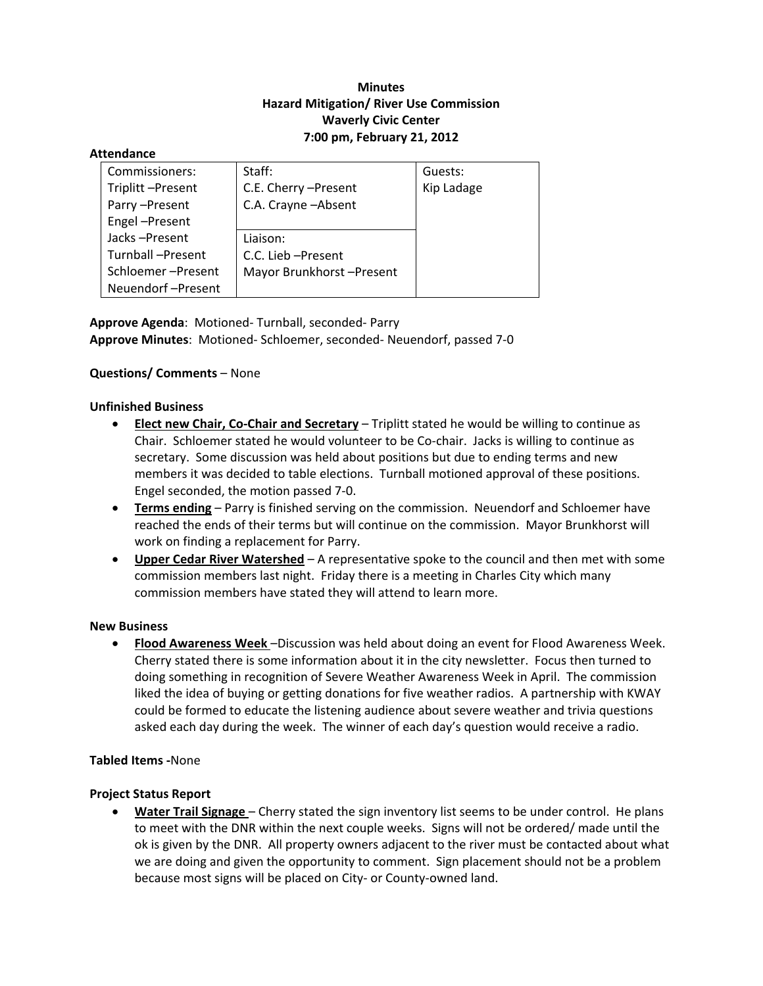# **Minutes Hazard Mitigation/ River Use Commission Waverly Civic Center 7:00 pm, February 21, 2012**

#### **Attendance**

| Commissioners:    | Staff:                   | Guests:    |
|-------------------|--------------------------|------------|
| Triplitt-Present  | C.E. Cherry - Present    | Kip Ladage |
| Parry-Present     | C.A. Crayne - Absent     |            |
| Engel-Present     |                          |            |
| Jacks-Present     | Liaison:                 |            |
| Turnball-Present  | C.C. Lieb - Present      |            |
| Schloemer-Present | Mayor Brunkhorst-Present |            |
| Neuendorf-Present |                          |            |

**Approve Agenda**: Motioned‐ Turnball, seconded‐ Parry **Approve Minutes**: Motioned‐ Schloemer, seconded‐ Neuendorf, passed 7‐0

# **Questions/ Comments** – None

### **Unfinished Business**

- **Elect new Chair, Co‐Chair and Secretary** Triplitt stated he would be willing to continue as Chair. Schloemer stated he would volunteer to be Co-chair. Jacks is willing to continue as secretary. Some discussion was held about positions but due to ending terms and new members it was decided to table elections. Turnball motioned approval of these positions. Engel seconded, the motion passed 7‐0.
- **Terms ending** Parry is finished serving on the commission. Neuendorf and Schloemer have reached the ends of their terms but will continue on the commission. Mayor Brunkhorst will work on finding a replacement for Parry.
- **Upper Cedar River Watershed** A representative spoke to the council and then met with some commission members last night. Friday there is a meeting in Charles City which many commission members have stated they will attend to learn more.

### **New Business**

 **Flood Awareness Week** –Discussion was held about doing an event for Flood Awareness Week. Cherry stated there is some information about it in the city newsletter. Focus then turned to doing something in recognition of Severe Weather Awareness Week in April. The commission liked the idea of buying or getting donations for five weather radios. A partnership with KWAY could be formed to educate the listening audience about severe weather and trivia questions asked each day during the week. The winner of each day's question would receive a radio.

# **Tabled Items ‐**None

### **Project Status Report**

 **Water Trail Signage** – Cherry stated the sign inventory list seems to be under control. He plans to meet with the DNR within the next couple weeks. Signs will not be ordered/ made until the ok is given by the DNR. All property owners adjacent to the river must be contacted about what we are doing and given the opportunity to comment. Sign placement should not be a problem because most signs will be placed on City‐ or County‐owned land.